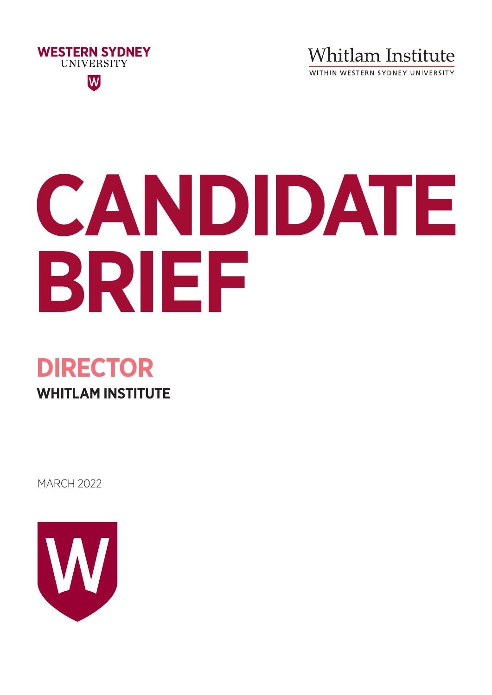

**Whitlam Institute** 

WITHIN WESTERN SYDNEY UNIVERSITY

# **CANDIDATE BRIEF**

# **DIRECTOR WHITLAM INSTITUTE**

MARCH 2022

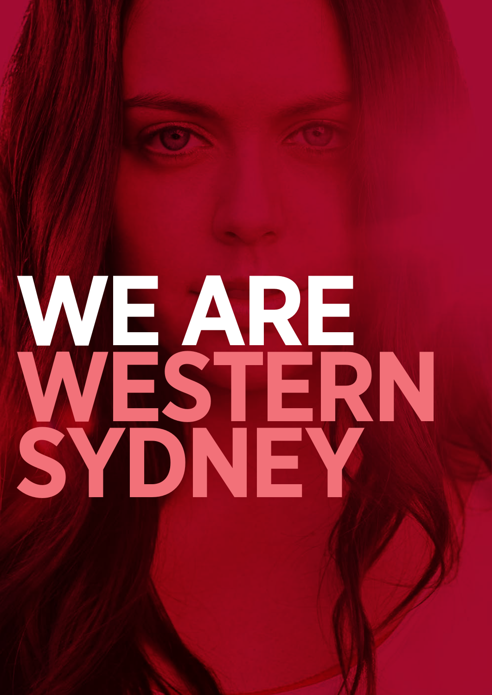# **WE ARE WESTERN SYDNEY**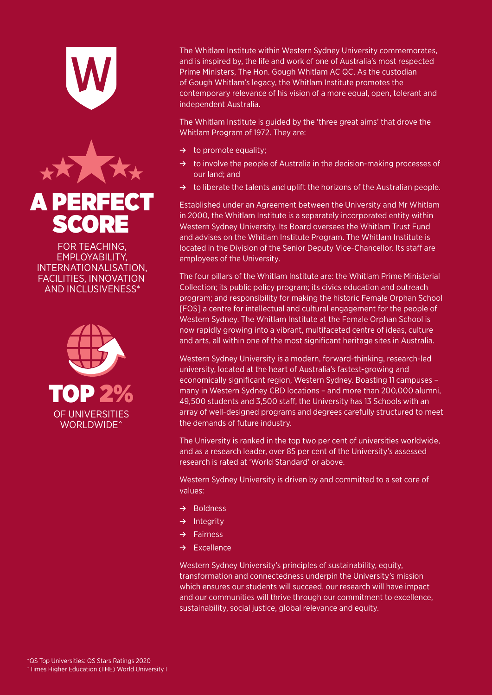





EMPEOTABIENT,<br>INTERNATIONALISATION,<br>FACILITIES, INNOVATION **SCIETTIES, INNOVATION<br>AND INCLUSIVENESS\*** EMPLOYABILITY, EMPLOYABILITY,<br>EMPLOYABILITY,<br>INTERNATIONALISATION, ^Times Higher Education (THE) World University Rankings 2020-2021



The Whitlam Institute within Western Sydney University commemorates, Prime Ministers, The Hon. Gough Whitlam AC QC. As the custodian of Gough Whitlam's legacy, the Whitlam Institute promotes the contemporary relevance of his vision of a more equal, open, tolerant and  $W$  is dependent  $\lambda$  used that  $W$ and is inspired by, the life and work of one of Australia's most respected array of well-designed programs and degrees carefully structured to meet economically significant region, Western Sydney. Boasting 11 campuses – independent Australia.

The Whitlam Institute is guided by the 'three great aims' that drove the **Principality Po** whitlam Program of 1972. They are: economically significant region, Western Sydney. Boasting 11 campuses –

- **→** to promote equality;
- → to involve the people of Australia in the decision-making processes ≥ Dur lafiu, d array our land; and degrees carefully structured to meet to meet to meet to meet to a set core of the set core → to involve the people of Australia in the decision-making processes of and as a research leader in the University's assessed the University's assessed the University's assessed the U
- value demands of the tolerands or the demands of the tolerands of the said the said of the said the said the s → to liberate the talents and uplift the horizons of the Australian people.

Established under an Agreement between the University and Mr Whil in 2000, the Whitlam Institute is a separately incorporated entity withir Western Sydney University. Its Board oversees the Whitlam Trust Fund and advises on the Whitlam Institute Program. The Whitlam Institute is Established under an Agreement between the University and Mr Whitlam **≥ ≥** Integral and as a research of the University and The Whitlam Institute is a separately incorporated entity within **™ 2000, the Windard Institute is a separatery incorporated entity within**<br>Western Sydney University. Its Board oversees the Whitlam Trust Fund located in the Division of the Senior Deputy Vice-Chancellor. Its staff are employees of the University, equity, equity, equity, equity, equity, equity, equity, equity, equity, equity, equity,  $\mathbf{P} = \mathbf{P} \mathbf{P} \mathbf{P}$ 

**Prime Four prima ≥** Fairnessen, B **Excellence in the University of Manning the Instance of Philad School**<br>[FOS] a centre for intellectual and cultural engagement for the people of western Sydney. The will their institute at the Fernale Siphan School is<br>now rapidly growing into a vibrant, multifaceted centre of ideas, culture transformation and connected control or today, called the University's mission and University's mission and un<br>The University's mission of University's mission and university of the University of the University of the Uni and arts, an within one or the most significant neritage sites in Adstralie The four pillars of the Whitlam Institute are: the Whitlam Prime Ministerial Collection; its public policy program; its civics education and outreach program; and responsibility for making the historic Fema program; and responsibility for making the historic Female Orphan School which ensures our students will succeed, our research will have impact Western Sydney. The Whitlam Institute at the Female Orphan School is now rapidly growing into a vibrant, maithaceted centre or ideas, callare<br>and arts, all within one of the most significant heritage sites in Australia.

Western Sydney University is a modern, forward-thinking, research-led university, located at the heart of Australia's fastest-growing and economically significant region, Western Sydney. Boasting 11 campuses – many in Western Sydney CBD locations – and more than 200,000 alumni, 49,500 students and 3,500 staff, the University has 13 Schools with an array of well-designed programs and degrees carefully structured to meet the demands of future industry.

The University is ranked in the top two per cent of universities worldwide, and as a research leader, over 85 per cent of the University's assessed research is rated at 'World Standard' or above.

Western Sydney University is driven by and committed to a set core of values:

- **≥** Boldness
- **≥** Integrity
- **≥** Fairness
- **≥** Excellence

^Times Higher Education (THE) World University Rankings 2020-2021 Western Sydney University's principles of sustainability, equity, transformation and connectedness underpin the University's mission which ensures our students will succeed, our research will have impact and our communities will thrive through our commitment to excellence, sustainability, social justice, global relevance and equity.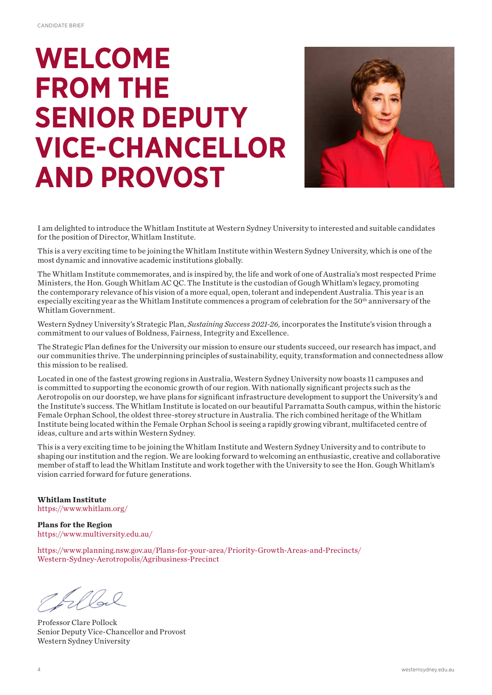# **WELCOME FROM THE SENIOR DEPUTY VICE-CHANCELLOR AND PROVOST**



I am delighted to introduce the Whitlam Institute at Western Sydney University to interested and suitable candidates for the position of Director, Whitlam Institute.

This is a very exciting time to be joining the Whitlam Institute within Western Sydney University, which is one of the most dynamic and innovative academic institutions globally.

The Whitlam Institute commemorates, and is inspired by, the life and work of one of Australia's most respected Prime Ministers, the Hon. Gough Whitlam AC QC. The Institute is the custodian of Gough Whitlam's legacy, promoting the contemporary relevance of his vision of a more equal, open, tolerant and independent Australia. This year is an especially exciting year as the Whitlam Institute commences a program of celebration for the  $50<sup>th</sup>$  anniversary of the Whitlam Government.

Western Sydney University's Strategic Plan, *Sustaining Success 2021-26,* incorporates the Institute's vision through a commitment to our values of Boldness, Fairness, Integrity and Excellence.

The Strategic Plan defines for the University our mission to ensure our students succeed, our research has impact, and our communities thrive. The underpinning principles of sustainability, equity, transformation and connectedness allow this mission to be realised.

Located in one of the fastest growing regions in Australia, Western Sydney University now boasts 11 campuses and is committed to supporting the economic growth of our region. With nationally significant projects such as the Aerotropolis on our doorstep, we have plans for significant infrastructure development to support the University's and the Institute's success. The Whitlam Institute is located on our beautiful Parramatta South campus, within the historic Female Orphan School, the oldest three-storey structure in Australia. The rich combined heritage of the Whitlam Institute being located within the Female Orphan School is seeing a rapidly growing vibrant, multifaceted centre of ideas, culture and arts within Western Sydney.

This is a very exciting time to be joining the Whitlam Institute and Western Sydney University and to contribute to shaping our institution and the region. We are looking forward to welcoming an enthusiastic, creative and collaborative member of staff to lead the Whitlam Institute and work together with the University to see the Hon. Gough Whitlam's vision carried forward for future generations.

**Whitlam Institute** https://www.whitlam.org/

**Plans for the Region** https://www.multiversity.edu.au/

https://www.planning.nsw.gov.au/Plans-for-your-area/Priority-Growth-Areas-and-Precincts/ Western-Sydney-Aerotropolis/Agribusiness-Precinct

Elbel

Professor Clare Pollock Senior Deputy Vice-Chancellor and Provost Western Sydney University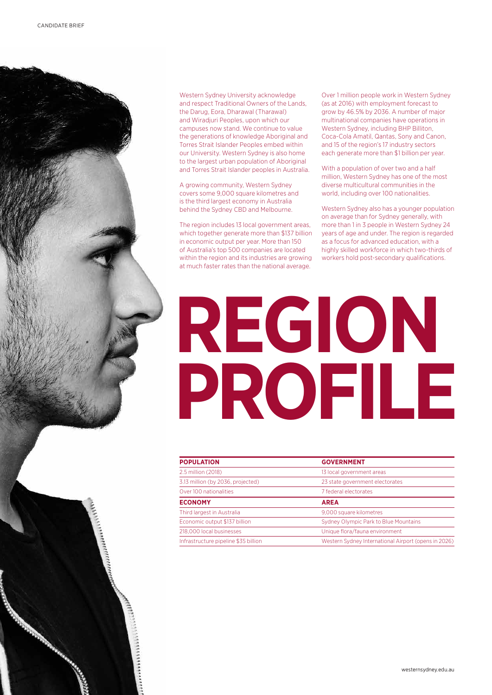Western Sydney University acknowledge and respect Traditional Owners of the Lands, the Darug, Eora, Dharawal (Tharawal) and Wiradjuri Peoples, upon which our campuses now stand. We continue to value the generations of knowledge Aboriginal and Torres Strait Islander Peoples embed within our University. Western Sydney is also home to the largest urban population of Aboriginal and Torres Strait Islander peoples in Australia.

A growing community, Western Sydney covers some 9,000 square kilometres and is the third largest economy in Australia behind the Sydney CBD and Melbourne.

The region includes 13 local government areas, which together generate more than \$137 billion in economic output per year. More than 150 of Australia's top 500 companies are located within the region and its industries are growing at much faster rates than the national average.

Over 1 million people work in Western Sydney (as at 2016) with employment forecast to grow by 46.5% by 2036. A number of major multinational companies have operations in Western Sydney, including BHP Billiton, Coca-Cola Amatil, Qantas, Sony and Canon, and 15 of the region's 17 industry sectors each generate more than \$1 billion per year.

With a population of over two and a half million, Western Sydney has one of the most diverse multicultural communities in the world, including over 100 nationalities.

Western Sydney also has a younger population on average than for Sydney generally, with more than 1 in 3 people in Western Sydney 24 years of age and under. The region is regarded as a focus for advanced education, with a highly skilled workforce in which two-thirds of workers hold post-secondary qualifications.

# **REGION PROFILE** WESTERN WESTERN

| <b>POPULATION</b>                    | <b>GOVERNMENT</b>                                    |
|--------------------------------------|------------------------------------------------------|
| 2.5 million (2018)                   | 13 local government areas                            |
| 3.13 million (by 2036, projected)    | 23 state government electorates                      |
| Over 100 nationalities               | 7 federal electorates                                |
| <b>ECONOMY</b>                       | <b>AREA</b>                                          |
| Third largest in Australia           | 9,000 square kilometres                              |
| Economic output \$137 billion        | Sydney Olympic Park to Blue Mountains                |
| 218,000 local businesses             | Unique flora/fauna environment                       |
| Infrastructure pipeline \$35 billion | Western Sydney International Airport (opens in 2026) |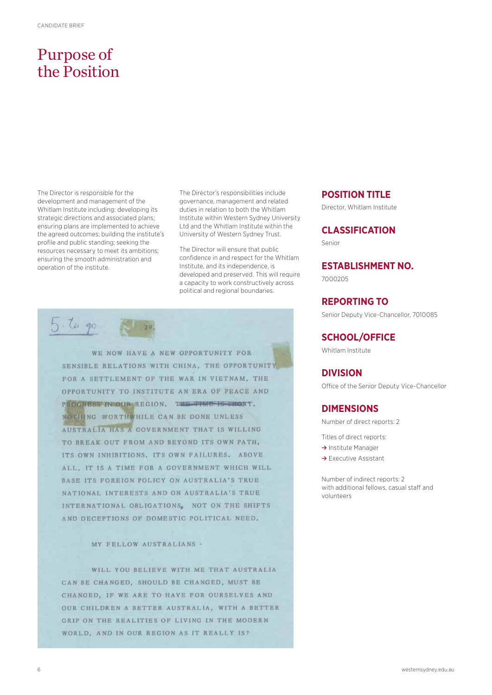# Purpose of the Position

The Director is responsible for the development and management of the Whitlam Institute including: developing its strategic directions and associated plans; ensuring plans are implemented to achieve the agreed outcomes; building the institute's profile and public standing; seeking the resources necessary to meet its ambitions; ensuring the smooth administration and operation of the institute.

The Director's responsibilities include governance, management and related duties in relation to both the Whitlam Institute within Western Sydney University Ltd and the Whitlam Institute within the University of Western Sydney Trust.

The Director will ensure that public confidence in and respect for the Whitlam Institute, and its independence, is developed and preserved. This will require a capacity to work constructively across political and regional boundaries.



WE NOW HAVE A NEW OPPORTUNITY FOR SENSIBLE RELATIONS WITH CHINA, THE OPPORTUNITY FOR A SETTLEMENT OF THE WAR IN VIETNAM, THE OPPORTUNITY TO INSTITUTE AN ERA OF PEACE AND PROGRESS IN OUR REGION. THE TIME IS SHORT. NOTHING WORTHWHILE CAN BE DONE UNLESS AUSTRALIA HAS A GOVERNMENT THAT IS WILLING TO BREAK OUT FROM AND BEYOND ITS OWN PATH, ITS OWN INHIBITIONS, ITS OWN FAILURES. ABOVE ALL. IT IS A TIME FOR A GOVERNMENT WHICH WILL BASE ITS FOREIGN POLICY ON AUSTRALIA'S TRUE NATIONAL INTERESTS AND ON AUSTRALIA'S TRUE INTERNATIONAL OBLIGATIONS, NOT ON THE SHIFTS AND DECEPTIONS OF DOMESTIC POLITICAL NEED.

#### MY FELLOW AUSTRALIANS -

WILL YOU BELIEVE WITH ME THAT AUSTRALIA CAN BE CHANGED, SHOULD BE CHANGED, MUST BE CHANGED, IF WE ARE TO HAVE FOR OURSELVES AND OUR CHILDREN A BETTER AUSTRALIA, WITH A BETTER GRIP ON THE REALITIES OF LIVING IN THE MODERN WORLD, AND IN OUR REGION AS IT REALLY IS?

#### **POSITION TITLE**

Director, Whitlam Institute

#### **CLASSIFICATION**

Senior

**ESTABLISHMENT NO.**

7000205

**REPORTING TO**

Senior Deputy Vice-Chancellor, 7010085

#### **SCHOOL/OFFICE**

Whitlam Institute

#### **DIVISION**

Office of the Senior Deputy Vice-Chancellor

#### **DIMENSIONS**

Number of direct reports: 2

Titles of direct reports:

- **≥** Institute Manager
- **≥** Executive Assistant

Number of indirect reports: 2 with additional fellows, casual staff and volunteers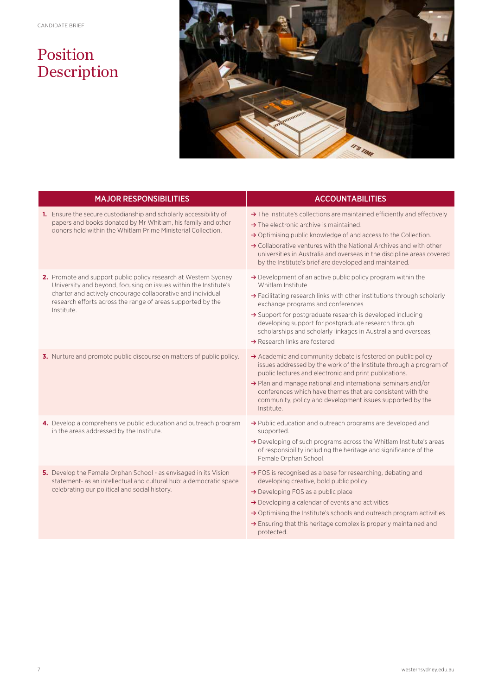# Position Description



| <b>MAJOR RESPONSIBILITIES</b>                                                                                                                                                                                                                                                   | <b>ACCOUNTABILITIES</b>                                                                                                                                                                                                                                                                                                                                                                                                                           |
|---------------------------------------------------------------------------------------------------------------------------------------------------------------------------------------------------------------------------------------------------------------------------------|---------------------------------------------------------------------------------------------------------------------------------------------------------------------------------------------------------------------------------------------------------------------------------------------------------------------------------------------------------------------------------------------------------------------------------------------------|
| 1. Ensure the secure custodianship and scholarly accessibility of<br>papers and books donated by Mr Whitlam, his family and other<br>donors held within the Whitlam Prime Ministerial Collection.                                                                               | $\rightarrow$ The Institute's collections are maintained efficiently and effectively<br>$\rightarrow$ The electronic archive is maintained.<br>$\rightarrow$ Optimising public knowledge of and access to the Collection.<br>→ Collaborative ventures with the National Archives and with other<br>universities in Australia and overseas in the discipline areas covered<br>by the Institute's brief are developed and maintained.               |
| 2. Promote and support public policy research at Western Sydney<br>University and beyond, focusing on issues within the Institute's<br>charter and actively encourage collaborative and individual<br>research efforts across the range of areas supported by the<br>Institute. | $\rightarrow$ Development of an active public policy program within the<br>Whitlam Institute<br>→ Facilitating research links with other institutions through scholarly<br>exchange programs and conferences<br>$\rightarrow$ Support for postgraduate research is developed including<br>developing support for postgraduate research through<br>scholarships and scholarly linkages in Australia and overseas,<br>→ Research links are fostered |
| 3. Nurture and promote public discourse on matters of public policy.                                                                                                                                                                                                            | $\rightarrow$ Academic and community debate is fostered on public policy<br>issues addressed by the work of the Institute through a program of<br>public lectures and electronic and print publications.<br>> Plan and manage national and international seminars and/or<br>conferences which have themes that are consistent with the<br>community, policy and development issues supported by the<br>Institute.                                 |
| 4. Develop a comprehensive public education and outreach program<br>in the areas addressed by the Institute.                                                                                                                                                                    | → Public education and outreach programs are developed and<br>supported.<br>$\rightarrow$ Developing of such programs across the Whitlam Institute's areas<br>of responsibility including the heritage and significance of the<br>Female Orphan School.                                                                                                                                                                                           |
| 5. Develop the Female Orphan School - as envisaged in its Vision<br>statement- as an intellectual and cultural hub: a democratic space<br>celebrating our political and social history.                                                                                         | → FOS is recognised as a base for researching, debating and<br>developing creative, bold public policy.<br>$\rightarrow$ Developing FOS as a public place<br>> Developing a calendar of events and activities<br>$\rightarrow$ Optimising the Institute's schools and outreach program activities<br>$\rightarrow$ Ensuring that this heritage complex is properly maintained and<br>protected.                                                   |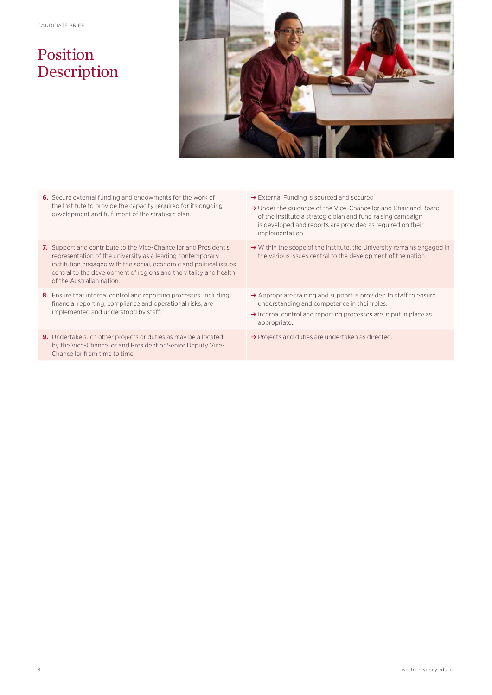## Position Description



- **6.** Secure external funding and endowments for the work of the Institute to provide the capacity required for its ongoing development and fulfilment of the strategic plan.
- **7.** Support and contribute to the Vice-Chancellor and President's representation of the university as a leading contemporary institution engaged with the social, economic and political issues central to the development of regions and the vitality and health of the Australian nation.
- **8.** Ensure that internal control and reporting processes, including financial reporting, compliance and operational risks, are implemented and understood by staff.
- **9.** Undertake such other projects or duties as may be allocated by the Vice-Chancellor and President or Senior Deputy Vice-Chancellor from time to time.
- **≥** External Funding is sourced and secured
- **≥** Under the guidance of the Vice-Chancellor and Chair and Board of the Institute a strategic plan and fund raising campaign is developed and reports are provided as required on their implementation.
- **≥** Within the scope of the Institute, the University remains engaged in the various issues central to the development of the nation.
- **≥** Appropriate training and support is provided to staff to ensure understanding and competence in their roles.
- **≥** Internal control and reporting processes are in put in place as appropriate.
- **≥** Projects and duties are undertaken as directed.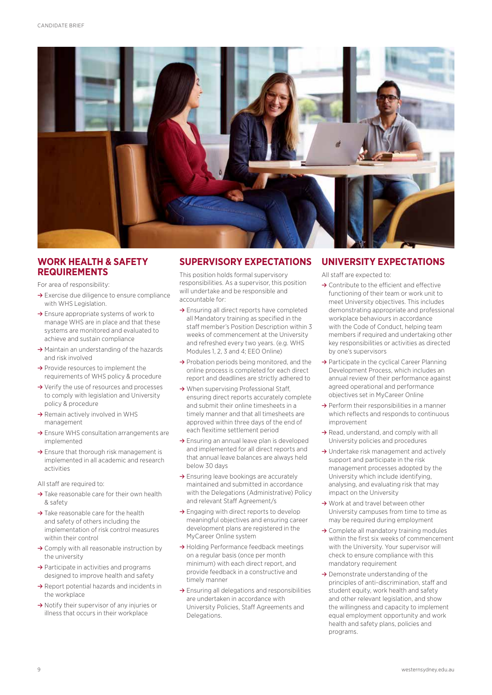

#### **WORK HEALTH & SAFETY REQUIREMENTS**

For area of responsibility:

- **≥** Exercise due diligence to ensure compliance with WHS Legislation.
- **≥** Ensure appropriate systems of work to manage WHS are in place and that these systems are monitored and evaluated to achieve and sustain compliance
- **≥** Maintain an understanding of the hazards and risk involved
- **≥** Provide resources to implement the requirements of WHS policy & procedure
- **≥** Verify the use of resources and processes to comply with legislation and University policy & procedure
- **≥** Remain actively involved in WHS management
- **≥** Ensure WHS consultation arrangements are implemented
- **≥** Ensure that thorough risk management is implemented in all academic and research activities

All staff are required to:

- **≥** Take reasonable care for their own health & safety
- **≥** Take reasonable care for the health and safety of others including the implementation of risk control measures within their control
- **≥** Comply with all reasonable instruction by the university
- **≥** Participate in activities and programs designed to improve health and safety
- **≥** Report potential hazards and incidents in the workplace
- **≥** Notify their supervisor of any injuries or illness that occurs in their workplace

#### **SUPERVISORY EXPECTATIONS**

This position holds formal supervisory responsibilities. As a supervisor, this position will undertake and be responsible and accountable for:

- **≥** Ensuring all direct reports have completed all Mandatory training as specified in the staff member's Position Description within 3 weeks of commencement at the University and refreshed every two years. (e.g. WHS Modules 1, 2, 3 and 4; EEO Online)
- **≥** Probation periods being monitored, and the online process is completed for each direct report and deadlines are strictly adhered to
- **≥** When supervising Professional Staff, ensuring direct reports accurately complete and submit their online timesheets in a timely manner and that all timesheets are approved within three days of the end of each flexitime settlement period
- **≥** Ensuring an annual leave plan is developed and implemented for all direct reports and that annual leave balances are always held below 30 days
- **≥** Ensuring leave bookings are accurately maintained and submitted in accordance with the Delegations (Administrative) Policy and relevant Staff Agreement/s
- **≥** Engaging with direct reports to develop meaningful objectives and ensuring career development plans are registered in the MyCareer Online system
- **≥** Holding Performance feedback meetings on a regular basis (once per month minimum) with each direct report, and provide feedback in a constructive and timely manner
- **≥** Ensuring all delegations and responsibilities are undertaken in accordance with University Policies, Staff Agreements and Delegations.

#### **UNIVERSITY EXPECTATIONS**

All staff are expected to:

- **≥** Contribute to the efficient and effective functioning of their team or work unit to meet University objectives. This includes demonstrating appropriate and professional workplace behaviours in accordance with the Code of Conduct, helping team members if required and undertaking other key responsibilities or activities as directed by one's supervisors
- **≥** Participate in the cyclical Career Planning Development Process, which includes an annual review of their performance against agreed operational and performance objectives set in MyCareer Online
- **≥** Perform their responsibilities in a manner which reflects and responds to continuous improvement
- **≥** Read, understand, and comply with all University policies and procedures
- **≥** Undertake risk management and actively support and participate in the risk management processes adopted by the University which include identifying, analysing, and evaluating risk that may impact on the University
- **≥** Work at and travel between other University campuses from time to time as may be required during employment
- **≥** Complete all mandatory training modules within the first six weeks of commencement with the University. Your supervisor will check to ensure compliance with this mandatory requirement
- **≥** Demonstrate understanding of the principles of anti-discrimination, staff and student equity, work health and safety and other relevant legislation, and show the willingness and capacity to implement equal employment opportunity and work health and safety plans, policies and programs.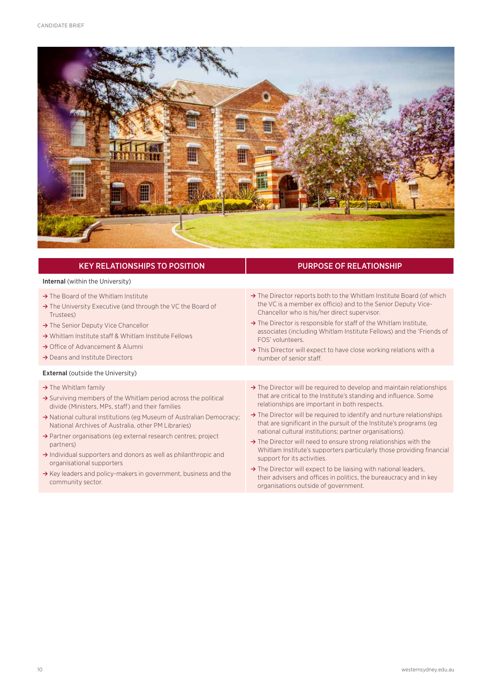

| <b>KEY RELATIONSHIPS TO POSITION</b>                                                                                                                                                                                                                                                                                                                                                                                                                                         | <b>PURPOSE OF RELATIONSHIP</b>                                                                                                                                                                                                                                                                                                                                                                                                                                                                                                                                                          |
|------------------------------------------------------------------------------------------------------------------------------------------------------------------------------------------------------------------------------------------------------------------------------------------------------------------------------------------------------------------------------------------------------------------------------------------------------------------------------|-----------------------------------------------------------------------------------------------------------------------------------------------------------------------------------------------------------------------------------------------------------------------------------------------------------------------------------------------------------------------------------------------------------------------------------------------------------------------------------------------------------------------------------------------------------------------------------------|
| <b>Internal</b> (within the University)                                                                                                                                                                                                                                                                                                                                                                                                                                      |                                                                                                                                                                                                                                                                                                                                                                                                                                                                                                                                                                                         |
| $\rightarrow$ The Board of the Whitlam Institute<br>$\rightarrow$ The University Executive (and through the VC the Board of<br>Trustees)<br>$\rightarrow$ The Senior Deputy Vice Chancellor<br>$\rightarrow$ Whitlam Institute staff & Whitlam Institute Fellows<br>$\rightarrow$ Office of Advancement & Alumni<br>$\rightarrow$ Deans and Institute Directors                                                                                                              | $\rightarrow$ The Director reports both to the Whitlam Institute Board (of which<br>the VC is a member ex officio) and to the Senior Deputy Vice-<br>Chancellor who is his/her direct supervisor.<br>$\rightarrow$ The Director is responsible for staff of the Whitlam Institute,<br>associates (including Whitlam Institute Fellows) and the 'Friends of<br>FOS' volunteers.<br>$\rightarrow$ This Director will expect to have close working relations with a<br>number of senior staff.                                                                                             |
| <b>External (outside the University)</b>                                                                                                                                                                                                                                                                                                                                                                                                                                     |                                                                                                                                                                                                                                                                                                                                                                                                                                                                                                                                                                                         |
| $\rightarrow$ The Whitlam family<br>$\rightarrow$ Surviving members of the Whitlam period across the political<br>divide (Ministers, MPs, staff) and their families<br>A National cultural institutions (eg Museum of Australian Democracy;<br>National Archives of Australia, other PM Libraries)<br>$\rightarrow$ Partner organisations (eg external research centres; project<br>partners)<br>$\rightarrow$ Individual supporters and donors as well as philanthropic and | $\rightarrow$ The Director will be required to develop and maintain relationships<br>that are critical to the Institute's standing and influence. Some<br>relationships are important in both respects.<br>$\rightarrow$ The Director will be required to identify and nurture relationships<br>that are significant in the pursuit of the Institute's programs (eg<br>national cultural institutions; partner organisations).<br>$\rightarrow$ The Director will need to ensure strong relationships with the<br>Whitlam Institute's supporters particularly those providing financial |
| organisational supporters<br>$\rightarrow$ Key leaders and policy-makers in government, business and the<br>community sector.                                                                                                                                                                                                                                                                                                                                                | support for its activities.<br>$\rightarrow$ The Director will expect to be liaising with national leaders,<br>their advisers and offices in politics, the bureaucracy and in key<br>organisations outside of government                                                                                                                                                                                                                                                                                                                                                                |

organisations outside of government.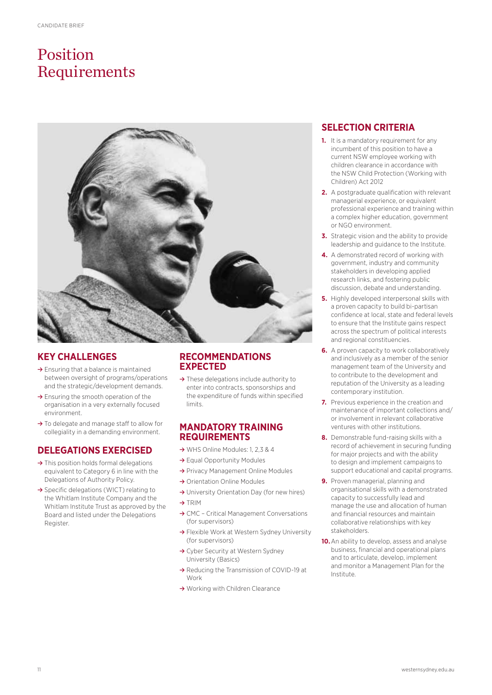# Position Requirements



#### **KEY CHALLENGES**

- **≥** Ensuring that a balance is maintained between oversight of programs/operations and the strategic/development demands.
- **≥** Ensuring the smooth operation of the organisation in a very externally focused environment.
- **≥** To delegate and manage staff to allow for collegiality in a demanding environment.

#### **DELEGATIONS EXERCISED**

- **≥** This position holds formal delegations equivalent to Category 6 in line with the Delegations of Authority Policy.
- **≥** Specific delegations (WICT) relating to the Whitlam Institute Company and the Whitlam Institute Trust as approved by the Board and listed under the Delegations Register.

#### **RECOMMENDATIONS EXPECTED**

**≥** These delegations include authority to enter into contracts, sponsorships and the expenditure of funds within specified limits.

#### **MANDATORY TRAINING REQUIREMENTS**

- **≥** WHS Online Modules: 1, 2,3 & 4
- **≥** Equal Opportunity Modules
- **≥** Privacy Management Online Modules
- **≥** Orientation Online Modules
- **≥** University Orientation Day (for new hires)
- **≥** TRIM
- **≥** CMC Critical Management Conversations (for supervisors)
- **≥** Flexible Work at Western Sydney University (for supervisors)
- **≥** Cyber Security at Western Sydney University (Basics)
- **≥** Reducing the Transmission of COVID-19 at Work
- **≥** Working with Children Clearance

#### **SELECTION CRITERIA**

- **1.** It is a mandatory requirement for any incumbent of this position to have a current NSW employee working with children clearance in accordance with the NSW Child Protection (Working with Children) Act 2012
- **2.** A postgraduate qualification with relevant managerial experience, or equivalent professional experience and training within a complex higher education, government or NGO environment.
- **3.** Strategic vision and the ability to provide leadership and guidance to the Institute.
- **4.** A demonstrated record of working with government, industry and community stakeholders in developing applied research links, and fostering public discussion, debate and understanding.
- **5.** Highly developed interpersonal skills with a proven capacity to build bi-partisan confidence at local, state and federal levels to ensure that the Institute gains respect across the spectrum of political interests and regional constituencies.
- **6.** A proven capacity to work collaboratively and inclusively as a member of the senior management team of the University and to contribute to the development and reputation of the University as a leading contemporary institution.
- **7.** Previous experience in the creation and maintenance of important collections and/ or involvement in relevant collaborative ventures with other institutions.
- **8.** Demonstrable fund-raising skills with a record of achievement in securing funding for major projects and with the ability to design and implement campaigns to support educational and capital programs.
- **9.** Proven managerial, planning and organisational skills with a demonstrated capacity to successfully lead and manage the use and allocation of human and financial resources and maintain collaborative relationships with key stakeholders.
- **10.**An ability to develop, assess and analyse business, financial and operational plans and to articulate, develop, implement and monitor a Management Plan for the Institute.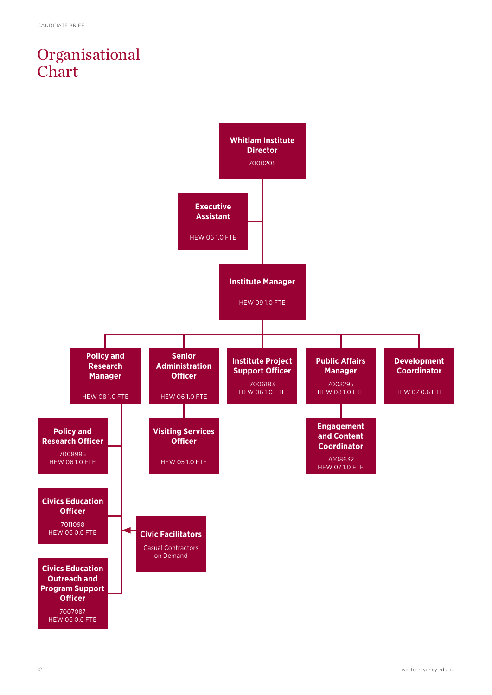# Organisational Chart